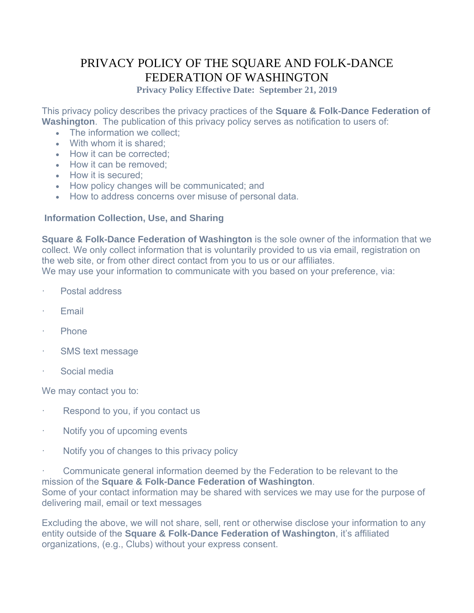# PRIVACY POLICY OF THE SQUARE AND FOLK-DANCE FEDERATION OF WASHINGTON

**Privacy Policy Effective Date: September 21, 2019**

This privacy policy describes the privacy practices of the **Square & Folk-Dance Federation of Washington**. The publication of this privacy policy serves as notification to users of:

- The information we collect:
- With whom it is shared:
- How it can be corrected;
- How it can be removed:
- How it is secured;
- How policy changes will be communicated; and
- How to address concerns over misuse of personal data.

## **Information Collection, Use, and Sharing**

**Square & Folk-Dance Federation of Washington** is the sole owner of the information that we collect. We only collect information that is voluntarily provided to us via email, registration on the web site, or from other direct contact from you to us or our affiliates. We may use your information to communicate with you based on your preference, via:

- Postal address
- **Email**
- · Phone
- SMS text message
- Social media

We may contact you to:

- Respond to you, if you contact us
- Notify you of upcoming events
- Notify you of changes to this privacy policy

· Communicate general information deemed by the Federation to be relevant to the mission of the **Square & Folk-Dance Federation of Washington**. Some of your contact information may be shared with services we may use for the purpose of delivering mail, email or text messages

Excluding the above, we will not share, sell, rent or otherwise disclose your information to any entity outside of the **Square & Folk-Dance Federation of Washington**, it's affiliated organizations, (e.g., Clubs) without your express consent.